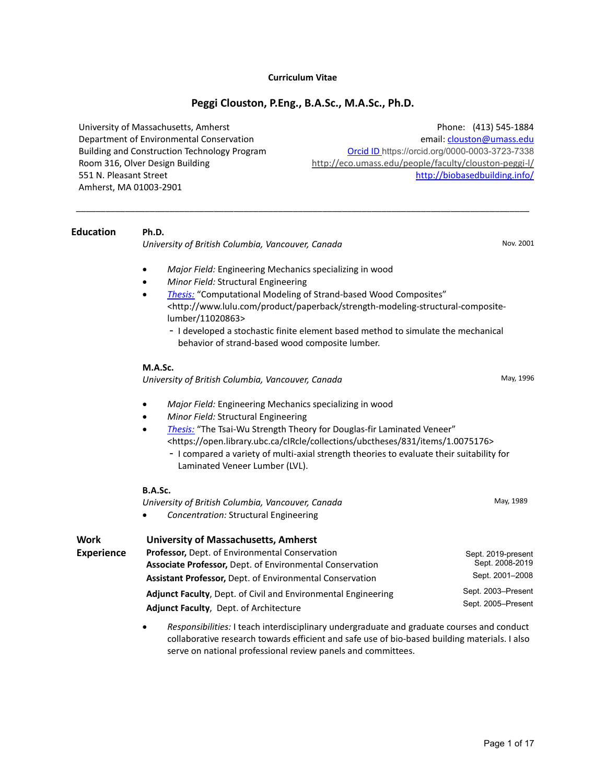#### **Curriculum Vitae**

#### **Peggi Clouston, P.Eng., B.A.Sc., M.A.Sc., Ph.D.**

\_\_\_\_\_\_\_\_\_\_\_\_\_\_\_\_\_\_\_\_\_\_\_\_\_\_\_\_\_\_\_\_\_\_\_\_\_\_\_\_\_\_\_\_\_\_\_\_\_\_\_\_\_\_\_\_\_\_\_\_\_\_\_\_\_\_\_\_\_\_\_\_\_\_\_\_\_\_\_\_\_\_\_\_\_\_\_\_\_\_\_\_

University of Massachusetts, Amherst Department of Environmental Conservation Building and Construction Technology Program Room 316, Olver Design Building 551 N. Pleasant Street Amherst, MA 01003-2901

Phone: (413) 545-1884 email[: clouston@umass.edu](mailto:clouston@umass.edu) Orcid ID https://orcid.org/0000-0003-3723-7338 <http://eco.umass.edu/people/faculty/clouston-peggi-l/> <http://biobasedbuilding.info/>

#### **Education Ph.D.**

*University of British Columbia, Vancouver, Canada* Nov. 2001

- *Major Field:* Engineering Mechanics specializing in wood
- *Minor Field:* Structural Engineering
- *[Thesis:](http://www.lulu.com/product/paperback/strength-modeling-structural-composite-lumber/11020863)* "Computational Modeling of Strand-based Wood Composites" <http://www.lulu.com/product/paperback/strength-modeling-structural-compositelumber/11020863>
	- I developed a stochastic finite element based method to simulate the mechanical behavior of strand-based wood composite lumber.

#### **M.A.Sc.**

*University of British Columbia, Vancouver, Canada* May, 1996

- *Major Field:* Engineering Mechanics specializing in wood
- *Minor Field:* Structural Engineering
- *[Thesis:](https://open.library.ubc.ca/cIRcle/collections/ubctheses/831/items/1.0075176)* "The Tsai-Wu Strength Theory for Douglas-fir Laminated Veneer" <https://open.library.ubc.ca/cIRcle/collections/ubctheses/831/items/1.0075176>
	- I compared a variety of multi-axial strength theories to evaluate their suitability for Laminated Veneer Lumber (LVL).

| .,<br>٠ | ۰, |
|---------|----|
|---------|----|

|                   | University of British Columbia, Vancouver, Canada<br><b>Concentration: Structural Engineering</b><br>$\bullet$ | May, 1989          |
|-------------------|----------------------------------------------------------------------------------------------------------------|--------------------|
| Work              | University of Massachusetts, Amherst                                                                           |                    |
| <b>Experience</b> | <b>Professor, Dept. of Environmental Conservation</b>                                                          | Sept. 2019-present |
|                   | Associate Professor, Dept. of Environmental Conservation                                                       | Sept. 2008-2019    |
|                   | Assistant Professor, Dept. of Environmental Conservation                                                       | Sept. 2001-2008    |
|                   | <b>Adjunct Faculty, Dept. of Civil and Environmental Engineering</b>                                           | Sept. 2003-Present |
|                   | Adjunct Faculty, Dept. of Architecture                                                                         | Sept. 2005-Present |
|                   |                                                                                                                |                    |

• *Responsibilities:* I teach interdisciplinary undergraduate and graduate courses and conduct collaborative research towards efficient and safe use of bio-based building materials. I also serve on national professional review panels and committees.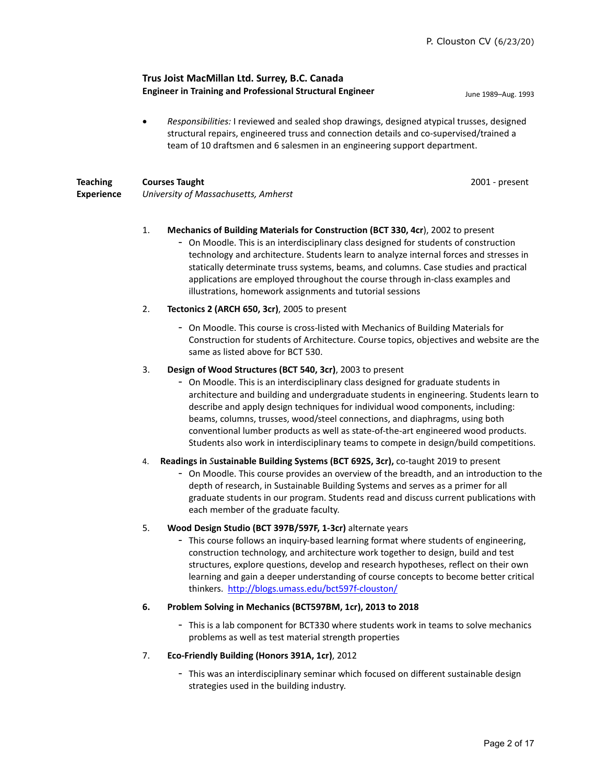# **Trus Joist MacMillan Ltd. Surrey, B.C. Canada Engineer in Training and Professional Structural Engineer** June 1989–Aug. 1993

• *Responsibilities:* I reviewed and sealed shop drawings, designed atypical trusses, designed structural repairs, engineered truss and connection details and co-supervised/trained a team of 10 draftsmen and 6 salesmen in an engineering support department.

| <b>Teaching</b>   | <b>Courses Taught</b>                |
|-------------------|--------------------------------------|
| <b>Experience</b> | University of Massachusetts, Amherst |

2001 - present

# 1. **Mechanics of Building Materials for Construction (BCT 330, 4cr**), 2002 to present - On Moodle. This is an interdisciplinary class designed for students of construction technology and architecture. Students learn to analyze internal forces and stresses in statically determinate truss systems, beams, and columns. Case studies and practical applications are employed throughout the course through in-class examples and illustrations, homework assignments and tutorial sessions

# 2. **Tectonics 2 (ARCH 650, 3cr)**, 2005 to present

- On Moodle. This course is cross-listed with Mechanics of Building Materials for Construction for students of Architecture. Course topics, objectives and website are the same as listed above for BCT 530.

#### 3. **Design of Wood Structures (BCT 540, 3cr)**, 2003 to present

- On Moodle. This is an interdisciplinary class designed for graduate students in architecture and building and undergraduate students in engineering. Students learn to describe and apply design techniques for individual wood components, including: beams, columns, trusses, wood/steel connections, and diaphragms, using both conventional lumber products as well as state-of-the-art engineered wood products. Students also work in interdisciplinary teams to compete in design/build competitions.

### 4. **Readings in** *S***ustainable Building Systems (BCT 692S, 3cr),** co-taught 2019 to present

- On Moodle. This course provides an overview of the breadth, and an introduction to the depth of research, in Sustainable Building Systems and serves as a primer for all graduate students in our program. Students read and discuss current publications with each member of the graduate faculty.

### 5. **Wood Design Studio (BCT 397B/597F, 1-3cr)** alternate years

- This course follows an inquiry-based learning format where students of engineering, construction technology, and architecture work together to design, build and test structures, explore questions, develop and research hypotheses, reflect on their own learning and gain a deeper understanding of course concepts to become better critical thinkers.<http://blogs.umass.edu/bct597f-clouston/>

### **6. Problem Solving in Mechanics (BCT597BM, 1cr), 2013 to 2018**

- This is a lab component for BCT330 where students work in teams to solve mechanics problems as well as test material strength properties

### 7. **Eco-Friendly Building (Honors 391A, 1cr)**, 2012

- This was an interdisciplinary seminar which focused on different sustainable design strategies used in the building industry.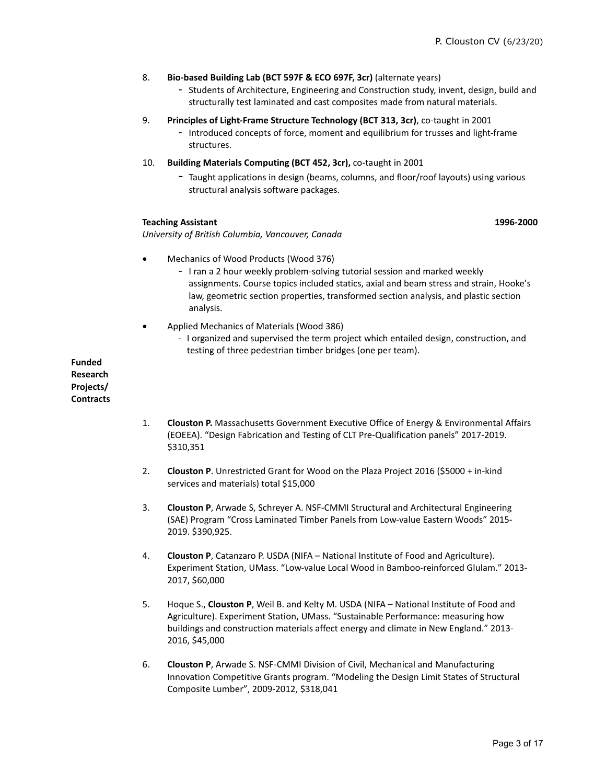#### 8. **Bio-based Building Lab (BCT 597F & ECO 697F, 3cr)** (alternate years)

- Students of Architecture, Engineering and Construction study, invent, design, build and structurally test laminated and cast composites made from natural materials.
- 9. **Principles of Light-Frame Structure Technology (BCT 313, 3cr)**, co-taught in 2001
	- Introduced concepts of force, moment and equilibrium for trusses and light-frame structures.
- 10. **Building Materials Computing (BCT 452, 3cr),** co-taught in 2001
	- Taught applications in design (beams, columns, and floor/roof layouts) using various structural analysis software packages.

#### **Teaching Assistant**

**1996-2000**

*University of British Columbia, Vancouver, Canada*

- Mechanics of Wood Products (Wood 376)
	- I ran a 2 hour weekly problem-solving tutorial session and marked weekly assignments. Course topics included statics, axial and beam stress and strain, Hooke's law, geometric section properties, transformed section analysis, and plastic section analysis.
- Applied Mechanics of Materials (Wood 386)
	- I organized and supervised the term project which entailed design, construction, and testing of three pedestrian timber bridges (one per team).

**Funded Research Projects/ Contracts**

- 1. **Clouston P.** Massachusetts Government Executive Office of Energy & Environmental Affairs (EOEEA). "Design Fabrication and Testing of CLT Pre-Qualification panels" 2017-2019. \$310,351
- 2. **Clouston P**. Unrestricted Grant for Wood on the Plaza Project 2016 (\$5000 + in-kind services and materials) total \$15,000
- 3. **Clouston P**, Arwade S, Schreyer A. NSF-CMMI Structural and Architectural Engineering (SAE) Program "Cross Laminated Timber Panels from Low-value Eastern Woods" 2015- 2019. \$390,925.
- 4. **Clouston P**, Catanzaro P. USDA (NIFA National Institute of Food and Agriculture). Experiment Station, UMass. "Low-value Local Wood in Bamboo-reinforced Glulam." 2013- 2017, \$60,000
- 5. Hoque S., **Clouston P**, Weil B. and Kelty M. USDA (NIFA National Institute of Food and Agriculture). Experiment Station, UMass. "Sustainable Performance: measuring how buildings and construction materials affect energy and climate in New England." 2013- 2016, \$45,000
- 6. **Clouston P**, Arwade S. NSF-CMMI Division of Civil, Mechanical and Manufacturing Innovation Competitive Grants program. "Modeling the Design Limit States of Structural Composite Lumber", 2009-2012, \$318,041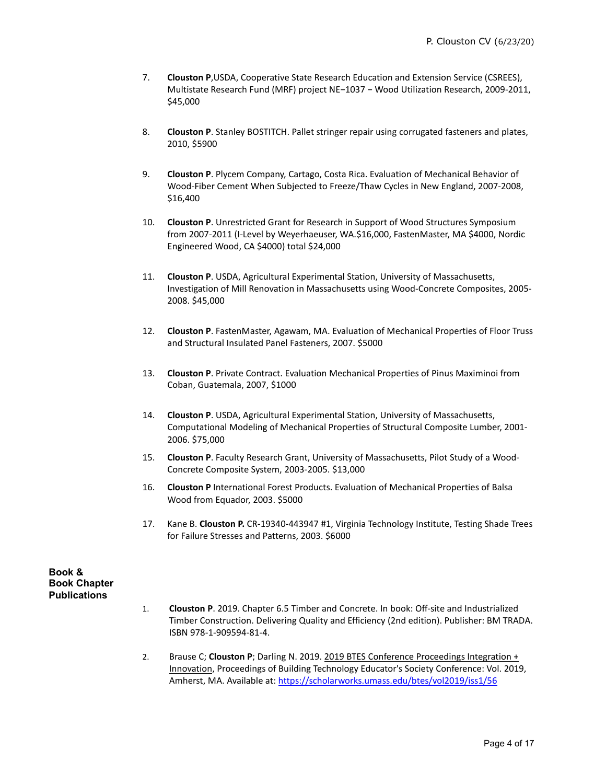- 7. **Clouston P**,USDA, Cooperative State Research Education and Extension Service (CSREES), Multistate Research Fund (MRF) project NE−1037 − Wood Utilization Research, 2009-2011, \$45,000
- 8. **Clouston P**. Stanley BOSTITCH. Pallet stringer repair using corrugated fasteners and plates, 2010, \$5900
- 9. **Clouston P**. Plycem Company, Cartago, Costa Rica. Evaluation of Mechanical Behavior of Wood-Fiber Cement When Subjected to Freeze/Thaw Cycles in New England, 2007-2008, \$16,400
- 10. **Clouston P**. Unrestricted Grant for Research in Support of Wood Structures Symposium from 2007-2011 (I-Level by Weyerhaeuser, WA.\$16,000, FastenMaster, MA \$4000, Nordic Engineered Wood, CA \$4000) total \$24,000
- 11. **Clouston P**. USDA, Agricultural Experimental Station, University of Massachusetts, Investigation of Mill Renovation in Massachusetts using Wood-Concrete Composites, 2005- 2008. \$45,000
- 12. **Clouston P**. FastenMaster, Agawam, MA. Evaluation of Mechanical Properties of Floor Truss and Structural Insulated Panel Fasteners, 2007. \$5000
- 13. **Clouston P**. Private Contract. Evaluation Mechanical Properties of Pinus Maximinoi from Coban, Guatemala, 2007, \$1000
- 14. **Clouston P**. USDA, Agricultural Experimental Station, University of Massachusetts, Computational Modeling of Mechanical Properties of Structural Composite Lumber, 2001- 2006. \$75,000
- 15. **Clouston P**. Faculty Research Grant, University of Massachusetts, Pilot Study of a Wood-Concrete Composite System, 2003-2005. \$13,000
- 16. **Clouston P** International Forest Products. Evaluation of Mechanical Properties of Balsa Wood from Equador, 2003. \$5000
- 17. Kane B. **Clouston P.** CR-19340-443947 #1, Virginia Technology Institute, Testing Shade Trees for Failure Stresses and Patterns, 2003. \$6000

**Book & Book Chapter Publications**

- 1. **Clouston P**. 2019. Chapter 6.5 Timber and Concrete. In book: Off-site and Industrialized Timber Construction. Delivering Quality and Efficiency (2nd edition). Publisher: BM TRADA. ISBN 978-1-909594-81-4.
- 2. Brause C; **Clouston P**; Darling N. 2019. 2019 BTES Conference Proceedings Integration + Innovation, Proceedings of Building Technology Educator's Society Conference: Vol. 2019, Amherst, MA. Available at[: https://scholarworks.umass.edu/btes/vol2019/iss1/56](https://scholarworks.umass.edu/btes/vol2019/iss1/56)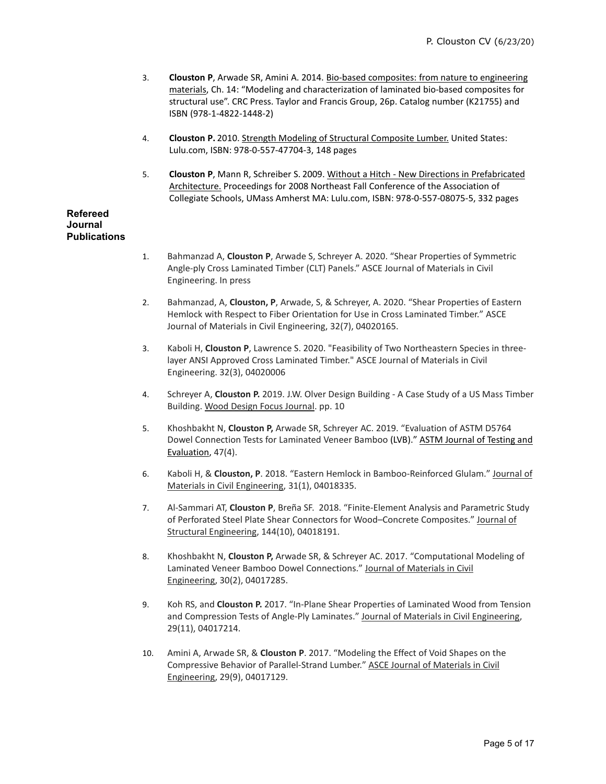- 3. **Clouston P**, Arwade SR, Amini A. 2014. Bio-based composites: from nature to engineering materials, Ch. 14: "Modeling and characterization of laminated bio-based composites for structural use". CRC Press. Taylor and Francis Group, 26p. Catalog number (K21755) and ISBN (978-1-4822-1448-2)
- 4. **Clouston P.** 2010. Strength Modeling of Structural Composite Lumber. United States: Lulu.com, ISBN: 978-0-557-47704-3, 148 pages
- 5. **Clouston P**, Mann R, Schreiber S. 2009. Without a Hitch New Directions in Prefabricated Architecture. Proceedings for 2008 Northeast Fall Conference of the Association of Collegiate Schools, UMass Amherst MA: Lulu.com, ISBN: 978-0-557-08075-5, 332 pages

# **Refereed Journal Publications**

- 1. Bahmanzad A, **Clouston P**, Arwade S, Schreyer A. 2020. "Shear Properties of Symmetric Angle-ply Cross Laminated Timber (CLT) Panels." ASCE Journal of Materials in Civil Engineering. In press
- 2. Bahmanzad, A, **Clouston, P**, Arwade, S, & Schreyer, A. 2020. "Shear Properties of Eastern Hemlock with Respect to Fiber Orientation for Use in Cross Laminated Timber." ASCE Journal of Materials in Civil Engineering, 32(7), 04020165.
- 3. Kaboli H, **Clouston P**, Lawrence S. 2020. "Feasibility of Two Northeastern Species in threelayer ANSI Approved Cross Laminated Timber." ASCE Journal of Materials in Civil Engineering. 32(3), 04020006
- 4. Schreyer A, **Clouston P.** 2019. J.W. Olver Design Building A Case Study of a US Mass Timber Building. Wood Design Focus Journal. pp. 10
- 5. Khoshbakht N, **Clouston P,** Arwade SR, Schreyer AC. 2019. "Evaluation of ASTM D5764 Dowel Connection Tests for Laminated Veneer Bamboo (LVB)." ASTM Journal of Testing and Evaluation, 47(4).
- 6. Kaboli H, & **Clouston, P**. 2018. "Eastern Hemlock in Bamboo-Reinforced Glulam." Journal of Materials in Civil Engineering, 31(1), 04018335.
- 7. Al-Sammari AT, **Clouston P**, Breña SF. 2018. "Finite-Element Analysis and Parametric Study of Perforated Steel Plate Shear Connectors for Wood–Concrete Composites." Journal of Structural Engineering, 144(10), 04018191.
- 8. Khoshbakht N, **Clouston P,** Arwade SR, & Schreyer AC. 2017. "Computational Modeling of Laminated Veneer Bamboo Dowel Connections." Journal of Materials in Civil Engineering, 30(2), 04017285.
- 9. Koh RS, and **Clouston P.** 2017. "In-Plane Shear Properties of Laminated Wood from Tension and Compression Tests of Angle-Ply Laminates." Journal of Materials in Civil Engineering, 29(11), 04017214.
- 10. Amini A, Arwade SR, & **Clouston P**. 2017. "Modeling the Effect of Void Shapes on the Compressive Behavior of Parallel-Strand Lumber." ASCE Journal of Materials in Civil Engineering, 29(9), 04017129.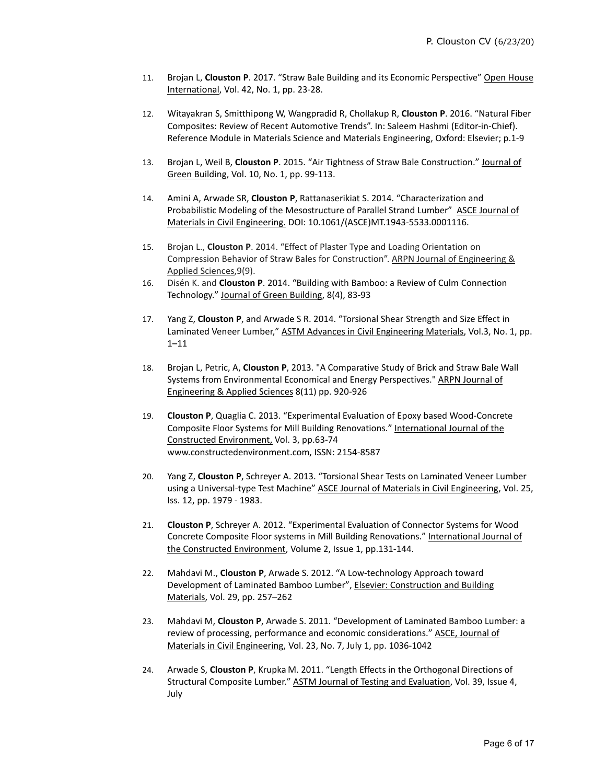- 11. Brojan L, **Clouston P**. 2017. "Straw Bale Building and its Economic Perspective" Open House International, Vol. 42, No. 1, pp. 23-28.
- 12. Witayakran S, Smitthipong W, Wangpradid R, Chollakup R, **Clouston P**. 2016. "Natural Fiber Composites: Review of Recent Automotive Trends". In: Saleem Hashmi (Editor-in-Chief). Reference Module in Materials Science and Materials Engineering, Oxford: Elsevier; p.1-9
- 13. Brojan L, Weil B, **Clouston P**. 2015. "Air Tightness of Straw Bale Construction." Journal of Green Building, Vol. 10, No. 1, pp. 99-113.
- 14. Amini A, Arwade SR, **Clouston P**, Rattanaserikiat S. 2014. "Characterization and Probabilistic Modeling of the Mesostructure of Parallel Strand Lumber" ASCE Journal of Materials in Civil Engineering. DOI: 10.1061/(ASCE)MT.1943-5533.0001116.
- 15. Brojan L., **Clouston P**. 2014. "Effect of Plaster Type and Loading Orientation on Compression Behavior of Straw Bales for Construction". ARPN Journal of Engineering & Applied Sciences,9(9).
- 16. Disén K. and **Clouston P**. 2014. "Building with Bamboo: a Review of Culm Connection Technology." Journal of Green Building, 8(4), 83-93
- 17. Yang Z, **Clouston P**, and Arwade S R. 2014. "Torsional Shear Strength and Size Effect in Laminated Veneer Lumber," ASTM Advances in Civil Engineering Materials, Vol.3, No. 1, pp. 1–11
- 18. Brojan L, Petric, A, **Clouston P**, 2013. "A Comparative Study of Brick and Straw Bale Wall Systems from Environmental Economical and Energy Perspectives." ARPN Journal of Engineering & Applied Sciences 8(11) pp. 920-926
- 19. **Clouston P**, Quaglia C. 2013. "Experimental Evaluation of Epoxy based Wood-Concrete Composite Floor Systems for Mill Building Renovations." International Journal of the Constructed Environment, Vol. 3, pp.63-74 www.constructedenvironment.com, ISSN: 2154-8587
- 20. Yang Z, **Clouston P**, Schreyer A. 2013. "Torsional Shear Tests on Laminated Veneer Lumber using a Universal-type Test Machine" ASCE Journal of Materials in Civil Engineering, Vol. 25, Iss. 12, pp. 1979 - 1983.
- 21. **Clouston P**, Schreyer A. 2012. "Experimental Evaluation of Connector Systems for Wood Concrete Composite Floor systems in Mill Building Renovations." International Journal of the Constructed Environment, Volume 2, Issue 1, pp.131-144.
- 22. Mahdavi M., **Clouston P**, Arwade S. 2012. "A Low-technology Approach toward Development of Laminated Bamboo Lumber", Elsevier: Construction and Building Materials, Vol. 29, pp. 257–262
- 23. Mahdavi M, **Clouston P**, Arwade S. 2011. "Development of Laminated Bamboo Lumber: a review of processing, performance and economic considerations." ASCE, Journal of Materials in Civil Engineering, Vol. 23, No. 7, July 1, pp. 1036-1042
- 24. Arwade S, **Clouston P**, Krupka M. 2011. "Length Effects in the Orthogonal Directions of Structural Composite Lumber." ASTM Journal of Testing and Evaluation, Vol. 39, Issue 4, July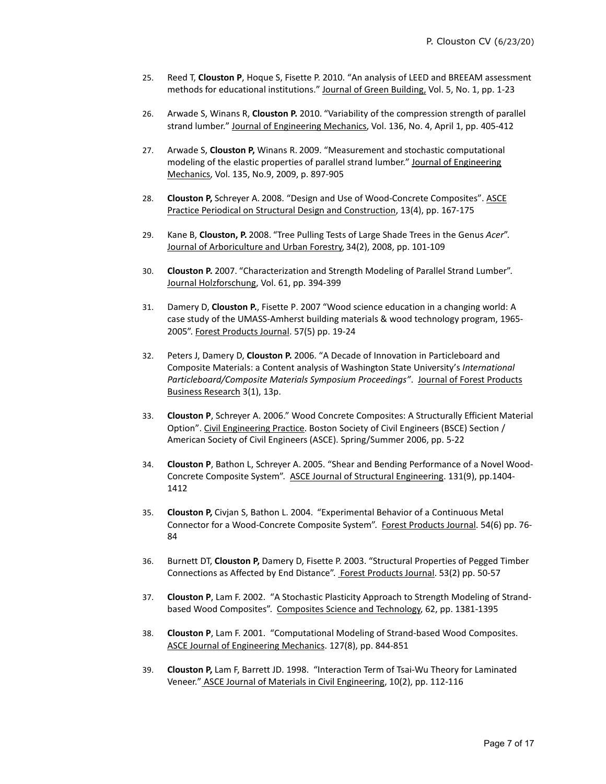- 25. Reed T, **Clouston P**, Hoque S, Fisette P. 2010. "An analysis of LEED and BREEAM assessment methods for educational institutions." Journal of Green Building, Vol. 5, No. 1, pp. 1-23
- 26. Arwade S, Winans R, **Clouston P.** 2010. "Variability of the compression strength of parallel strand lumber." Journal of Engineering Mechanics, Vol. 136, No. 4, April 1, pp. 405-412
- 27. Arwade S, **Clouston P,** Winans R. 2009. "Measurement and stochastic computational modeling of the elastic properties of parallel strand lumber." Journal of Engineering Mechanics, Vol. 135, No.9, 2009, p. 897-905
- 28. **Clouston P,** Schreyer A. 2008. "Design and Use of Wood-Concrete Composites". ASCE Practice Periodical on Structural Design and Construction, 13(4), pp. 167-175
- 29. Kane B, **Clouston, P.** 2008. "Tree Pulling Tests of Large Shade Trees in the Genus *Acer*". Journal of Arboriculture and Urban Forestry, 34(2), 2008, pp. 101-109
- 30. **Clouston P.** 2007. "Characterization and Strength Modeling of Parallel Strand Lumber". Journal Holzforschung, Vol. 61, pp. 394-399
- 31. Damery D, **Clouston P.**, Fisette P. 2007 "Wood science education in a changing world: A case study of the UMASS-Amherst building materials & wood technology program, 1965- 2005". Forest Products Journal. 57(5) pp. 19-24
- 32. Peters J, Damery D, **Clouston P.** 2006. "A Decade of Innovation in Particleboard and Composite Materials: a Content analysis of Washington State University's *International Particleboard/Composite Materials Symposium Proceedings"*. Journal of Forest Products Business Research 3(1), 13p.
- 33. **Clouston P**, Schreyer A. 2006." Wood Concrete Composites: A Structurally Efficient Material Option". Civil Engineering Practice. Boston Society of Civil Engineers (BSCE) Section / American Society of Civil Engineers (ASCE). Spring/Summer 2006, pp. 5-22
- 34. **Clouston P**, Bathon L, Schreyer A. 2005. "Shear and Bending Performance of a Novel Wood-Concrete Composite System". ASCE Journal of Structural Engineering. 131(9), pp.1404- 1412
- 35. **Clouston P,** Civjan S, Bathon L. 2004. "Experimental Behavior of a Continuous Metal Connector for a Wood-Concrete Composite System". Forest Products Journal. 54(6) pp. 76- 84
- 36. Burnett DT, **Clouston P,** Damery D, Fisette P. 2003. "Structural Properties of Pegged Timber Connections as Affected by End Distance". Forest Products Journal. 53(2) pp. 50-57
- 37. **Clouston P**, Lam F. 2002. "A Stochastic Plasticity Approach to Strength Modeling of Strandbased Wood Composites". Composites Science and Technology, 62, pp. 1381-1395
- 38. **Clouston P**, Lam F. 2001. "Computational Modeling of Strand-based Wood Composites. ASCE Journal of Engineering Mechanics. 127(8), pp. 844-851
- 39. **Clouston P,** Lam F, Barrett JD. 1998. "Interaction Term of Tsai-Wu Theory for Laminated Veneer." ASCE Journal of Materials in Civil Engineering, 10(2), pp. 112-116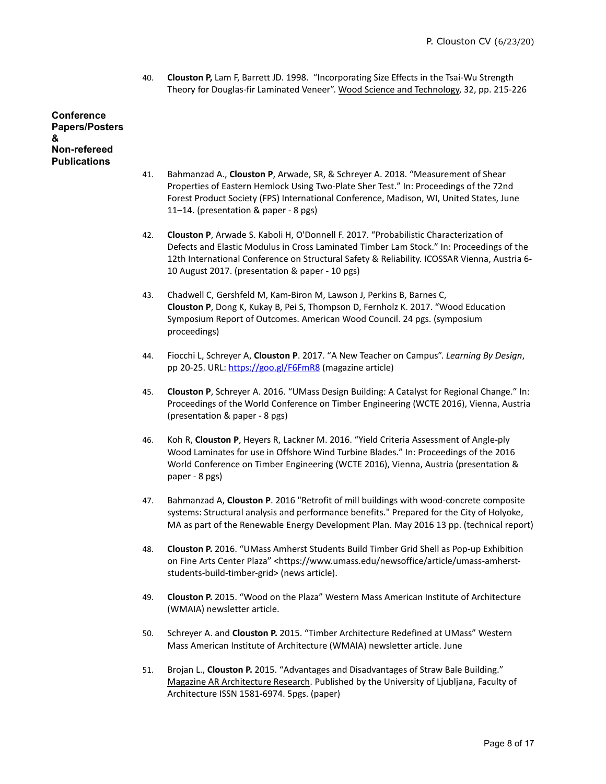40. **Clouston P,** Lam F, Barrett JD. 1998. "Incorporating Size Effects in the Tsai-Wu Strength Theory for Douglas-fir Laminated Veneer". Wood Science and Technology, 32, pp. 215-226

# **Conference Papers/Posters & Non-refereed Publications**

- 41. Bahmanzad A., **Clouston P**, Arwade, SR, & Schreyer A. 2018. "Measurement of Shear Properties of Eastern Hemlock Using Two-Plate Sher Test." In: Proceedings of the 72nd Forest Product Society (FPS) International Conference, Madison, WI, United States, June 11–14. (presentation & paper - 8 pgs)
- 42. **Clouston P**, Arwade S. Kaboli H, O'Donnell F. 2017. "Probabilistic Characterization of Defects and Elastic Modulus in Cross Laminated Timber Lam Stock." In: Proceedings of the 12th International Conference on Structural Safety & Reliability. ICOSSAR Vienna, Austria 6- 10 August 2017. (presentation & paper - 10 pgs)
- 43. Chadwell C, Gershfeld M, Kam-Biron M, Lawson J, Perkins B, Barnes C, **Clouston P**, Dong K, Kukay B, Pei S, Thompson D, Fernholz K. 2017. "Wood Education Symposium Report of Outcomes. American Wood Council. 24 pgs. (symposium proceedings)
- 44. Fiocchi L, Schreyer A, **Clouston P**. 2017. "A New Teacher on Campus". *Learning By Design*, pp 20-25. URL:<https://goo.gl/F6FmR8> (magazine article)
- 45. **Clouston P**, Schreyer A. 2016. "UMass Design Building: A Catalyst for Regional Change." In: Proceedings of the World Conference on Timber Engineering (WCTE 2016), Vienna, Austria (presentation & paper - 8 pgs)
- 46. Koh R, **Clouston P**, Heyers R, Lackner M. 2016. "Yield Criteria Assessment of Angle-ply Wood Laminates for use in Offshore Wind Turbine Blades." In: Proceedings of the 2016 World Conference on Timber Engineering (WCTE 2016), Vienna, Austria (presentation & paper - 8 pgs)
- 47. Bahmanzad A, **Clouston P**. 2016 "Retrofit of mill buildings with wood-concrete composite systems: Structural analysis and performance benefits." Prepared for the City of Holyoke, MA as part of the Renewable Energy Development Plan. May 2016 13 pp. (technical report)
- 48. **Clouston P.** 2016. "UMass Amherst Students Build Timber Grid Shell as Pop-up Exhibition on Fine Arts Center Plaza" <https://www.umass.edu/newsoffice/article/umass-amherststudents-build-timber-grid> (news article).
- 49. **Clouston P.** 2015. "Wood on the Plaza" Western Mass American Institute of Architecture (WMAIA) newsletter article.
- 50. Schreyer A. and **Clouston P.** 2015. "Timber Architecture Redefined at UMass" Western Mass American Institute of Architecture (WMAIA) newsletter article. June
- 51. Brojan L., **Clouston P.** 2015. "Advantages and Disadvantages of Straw Bale Building." Magazine AR Architecture Research. Published by the University of Ljubljana, Faculty of Architecture ISSN 1581-6974. 5pgs. (paper)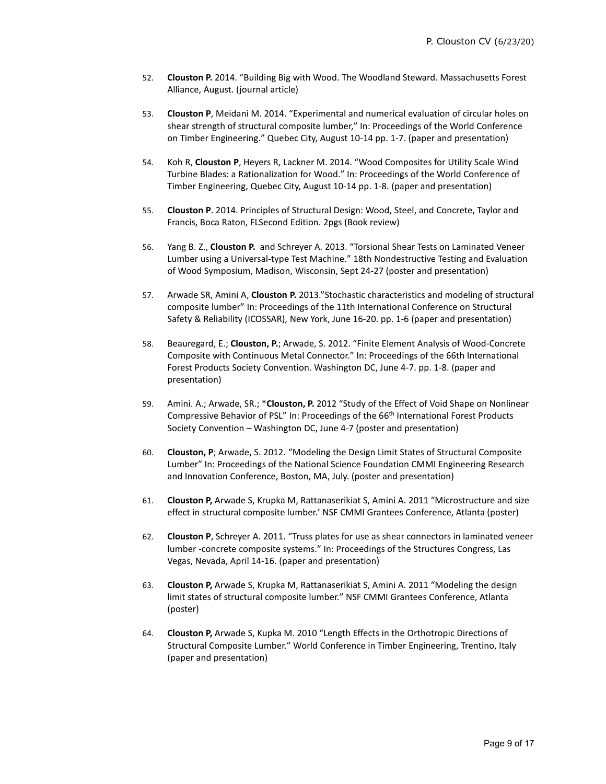- 52. **Clouston P.** 2014. "Building Big with Wood. The Woodland Steward. Massachusetts Forest Alliance, August. (journal article)
- 53. **Clouston P**, Meidani M. 2014. "Experimental and numerical evaluation of circular holes on shear strength of structural composite lumber," In: Proceedings of the World Conference on Timber Engineering." Quebec City, August 10-14 pp. 1-7. (paper and presentation)
- 54. Koh R, **Clouston P**, Heyers R, Lackner M. 2014. "Wood Composites for Utility Scale Wind Turbine Blades: a Rationalization for Wood." In: Proceedings of the World Conference of Timber Engineering, Quebec City, August 10-14 pp. 1-8. (paper and presentation)
- 55. **Clouston P**. 2014. Principles of Structural Design: Wood, Steel, and Concrete, Taylor and Francis, Boca Raton, FLSecond Edition. 2pgs (Book review)
- 56. Yang B. Z., **Clouston P.** and Schreyer A. 2013. "Torsional Shear Tests on Laminated Veneer Lumber using a Universal-type Test Machine." 18th Nondestructive Testing and Evaluation of Wood Symposium, Madison, Wisconsin, Sept 24-27 (poster and presentation)
- 57. Arwade SR, Amini A, **Clouston P.** 2013."Stochastic characteristics and modeling of structural composite lumber" In: Proceedings of the 11th International Conference on Structural Safety & Reliability (ICOSSAR), New York, June 16-20. pp. 1-6 (paper and presentation)
- 58. Beauregard, E.; **Clouston, P.**; Arwade, S. 2012. "Finite Element Analysis of Wood-Concrete Composite with Continuous Metal Connector." In: Proceedings of the 66th International Forest Products Society Convention. Washington DC, June 4-7. pp. 1-8. (paper and presentation)
- 59. Amini. A.; Arwade, SR.; \***Clouston, P.** 2012 "Study of the Effect of Void Shape on Nonlinear Compressive Behavior of PSL" In: Proceedings of the 66th International Forest Products Society Convention – Washington DC, June 4-7 (poster and presentation)
- 60. **Clouston, P**; Arwade, S. 2012. "Modeling the Design Limit States of Structural Composite Lumber" In: Proceedings of the National Science Foundation CMMI Engineering Research and Innovation Conference, Boston, MA, July. (poster and presentation)
- 61. **Clouston P,** Arwade S, Krupka M, Rattanaserikiat S, Amini A. 2011 "Microstructure and size effect in structural composite lumber.' NSF CMMI Grantees Conference, Atlanta (poster)
- 62. **Clouston P**, Schreyer A. 2011. "Truss plates for use as shear connectors in laminated veneer lumber -concrete composite systems." In: Proceedings of the Structures Congress, Las Vegas, Nevada, April 14-16. (paper and presentation)
- 63. **Clouston P,** Arwade S, Krupka M, Rattanaserikiat S, Amini A. 2011 "Modeling the design limit states of structural composite lumber." NSF CMMI Grantees Conference, Atlanta (poster)
- 64. **Clouston P,** Arwade S, Kupka M. 2010 "Length Effects in the Orthotropic Directions of Structural Composite Lumber." World Conference in Timber Engineering, Trentino, Italy (paper and presentation)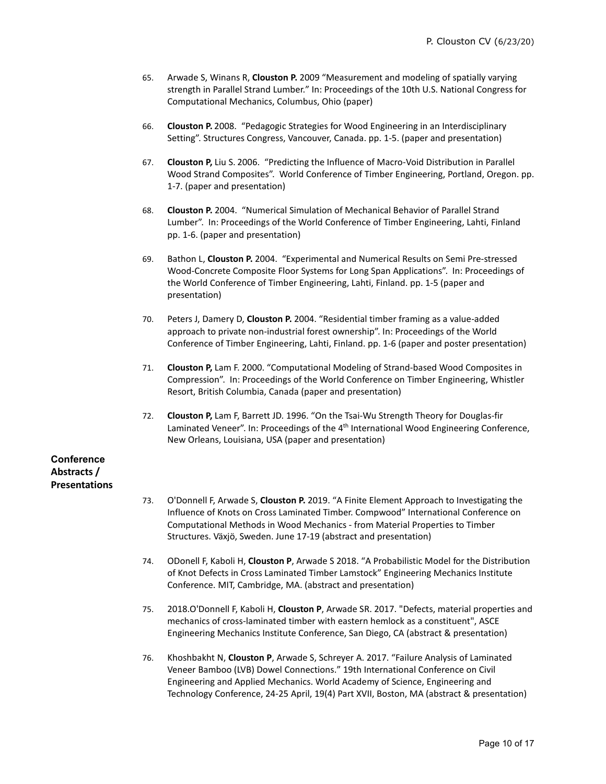- 65. Arwade S, Winans R, **Clouston P.** 2009 "Measurement and modeling of spatially varying strength in Parallel Strand Lumber." In: Proceedings of the 10th U.S. National Congress for Computational Mechanics, Columbus, Ohio (paper)
- 66. **Clouston P.** 2008. "Pedagogic Strategies for Wood Engineering in an Interdisciplinary Setting". Structures Congress, Vancouver, Canada. pp. 1-5. (paper and presentation)
- 67. **Clouston P,** Liu S. 2006. "Predicting the Influence of Macro-Void Distribution in Parallel Wood Strand Composites". World Conference of Timber Engineering, Portland, Oregon. pp. 1-7. (paper and presentation)
- 68. **Clouston P.** 2004. "Numerical Simulation of Mechanical Behavior of Parallel Strand Lumber". In: Proceedings of the World Conference of Timber Engineering, Lahti, Finland pp. 1-6. (paper and presentation)
- 69. Bathon L, **Clouston P.** 2004. "Experimental and Numerical Results on Semi Pre-stressed Wood-Concrete Composite Floor Systems for Long Span Applications". In: Proceedings of the World Conference of Timber Engineering, Lahti, Finland. pp. 1-5 (paper and presentation)
- 70. Peters J, Damery D, **Clouston P.** 2004. "Residential timber framing as a value-added approach to private non-industrial forest ownership". In: Proceedings of the World Conference of Timber Engineering, Lahti, Finland. pp. 1-6 (paper and poster presentation)
- 71. **Clouston P,** Lam F. 2000. "Computational Modeling of Strand-based Wood Composites in Compression". In: Proceedings of the World Conference on Timber Engineering, Whistler Resort, British Columbia, Canada (paper and presentation)
- 72. **Clouston P,** Lam F, Barrett JD. 1996. "On the Tsai-Wu Strength Theory for Douglas-fir Laminated Veneer". In: Proceedings of the  $4<sup>th</sup>$  International Wood Engineering Conference, New Orleans, Louisiana, USA (paper and presentation)

# **Conference Abstracts / Presentations**

- 73. O'Donnell F, Arwade S, **Clouston P.** 2019. "A Finite Element Approach to Investigating the Influence of Knots on Cross Laminated Timber. Compwood" International Conference on Computational Methods in Wood Mechanics - from Material Properties to Timber Structures. Växjö, Sweden. June 17-19 (abstract and presentation)
- 74. ODonell F, Kaboli H, **Clouston P**, Arwade S 2018. "A Probabilistic Model for the Distribution of Knot Defects in Cross Laminated Timber Lamstock" Engineering Mechanics Institute Conference. MIT, Cambridge, MA. (abstract and presentation)
- 75. 2018.O'Donnell F, Kaboli H, **Clouston P**, Arwade SR. 2017. "Defects, material properties and mechanics of cross-laminated timber with eastern hemlock as a constituent", ASCE Engineering Mechanics Institute Conference, San Diego, CA (abstract & presentation)
- 76. Khoshbakht N, **Clouston P**, Arwade S, Schreyer A. 2017. "Failure Analysis of Laminated Veneer Bamboo (LVB) Dowel Connections." 19th International Conference on Civil Engineering and Applied Mechanics. World Academy of Science, Engineering and Technology Conference, 24-25 April, 19(4) Part XVII, Boston, MA (abstract & presentation)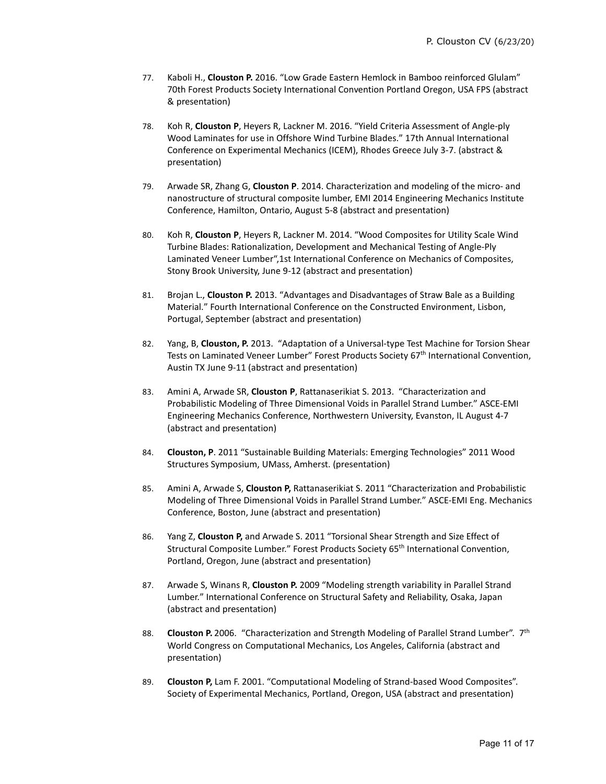- 77. Kaboli H., **Clouston P.** 2016. "Low Grade Eastern Hemlock in Bamboo reinforced Glulam" 70th Forest Products Society International Convention Portland Oregon, USA FPS (abstract & presentation)
- 78. Koh R, **Clouston P**, Heyers R, Lackner M. 2016. "Yield Criteria Assessment of Angle-ply Wood Laminates for use in Offshore Wind Turbine Blades." 17th Annual International Conference on Experimental Mechanics (ICEM), Rhodes Greece July 3-7. (abstract & presentation)
- 79. Arwade SR, Zhang G, **Clouston P**. 2014. Characterization and modeling of the micro- and nanostructure of structural composite lumber, EMI 2014 Engineering Mechanics Institute Conference, Hamilton, Ontario, August 5-8 (abstract and presentation)
- 80. Koh R, **Clouston P**, Heyers R, Lackner M. 2014. "Wood Composites for Utility Scale Wind Turbine Blades: Rationalization, Development and Mechanical Testing of Angle-Ply Laminated Veneer Lumber",1st International Conference on Mechanics of Composites, Stony Brook University, June 9-12 (abstract and presentation)
- 81. Brojan L., **Clouston P.** 2013. "Advantages and Disadvantages of Straw Bale as a Building Material." Fourth International Conference on the Constructed Environment, Lisbon, Portugal, September (abstract and presentation)
- 82. Yang, B, **Clouston, P.** 2013. "Adaptation of a Universal-type Test Machine for Torsion Shear Tests on Laminated Veneer Lumber" Forest Products Society 67th International Convention, Austin TX June 9-11 (abstract and presentation)
- 83. Amini A, Arwade SR, **Clouston P**, Rattanaserikiat S. 2013. "Characterization and Probabilistic Modeling of Three Dimensional Voids in Parallel Strand Lumber." ASCE-EMI Engineering Mechanics Conference, Northwestern University, Evanston, IL August 4-7 (abstract and presentation)
- 84. **Clouston, P**. 2011 "Sustainable Building Materials: Emerging Technologies" 2011 Wood Structures Symposium, UMass, Amherst. (presentation)
- 85. Amini A, Arwade S, **Clouston P,** Rattanaserikiat S. 2011 "Characterization and Probabilistic Modeling of Three Dimensional Voids in Parallel Strand Lumber." ASCE-EMI Eng. Mechanics Conference, Boston, June (abstract and presentation)
- 86. Yang Z, **Clouston P,** and Arwade S. 2011 "Torsional Shear Strength and Size Effect of Structural Composite Lumber." Forest Products Society 65<sup>th</sup> International Convention, Portland, Oregon, June (abstract and presentation)
- 87. Arwade S, Winans R, **Clouston P.** 2009 "Modeling strength variability in Parallel Strand Lumber." International Conference on Structural Safety and Reliability, Osaka, Japan (abstract and presentation)
- 88. **Clouston P.** 2006. "Characterization and Strength Modeling of Parallel Strand Lumber". 7th World Congress on Computational Mechanics, Los Angeles, California (abstract and presentation)
- 89. **Clouston P,** Lam F. 2001. "Computational Modeling of Strand-based Wood Composites". Society of Experimental Mechanics, Portland, Oregon, USA (abstract and presentation)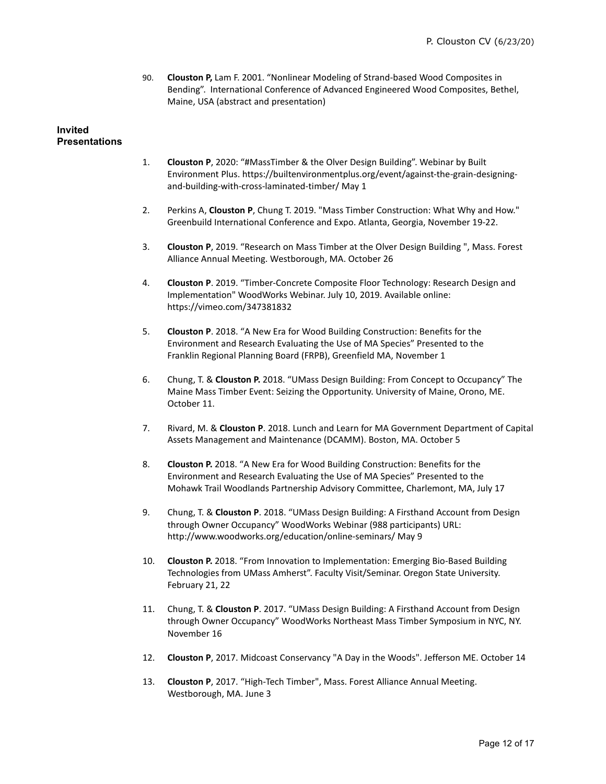90. **Clouston P,** Lam F. 2001. "Nonlinear Modeling of Strand-based Wood Composites in Bending". International Conference of Advanced Engineered Wood Composites, Bethel, Maine, USA (abstract and presentation)

### **Invited Presentations**

- 1. **Clouston P**, 2020: "#MassTimber & the Olver Design Building". Webinar by Built Environment Plus. https://builtenvironmentplus.org/event/against-the-grain-designingand-building-with-cross-laminated-timber/ May 1
- 2. Perkins A, **Clouston P**, Chung T. 2019. "Mass Timber Construction: What Why and How." Greenbuild International Conference and Expo. Atlanta, Georgia, November 19-22.
- 3. **Clouston P**, 2019. "Research on Mass Timber at the Olver Design Building ", Mass. Forest Alliance Annual Meeting. Westborough, MA. October 26
- 4. **Clouston P**. 2019. "Timber-Concrete Composite Floor Technology: Research Design and Implementation" WoodWorks Webinar. July 10, 2019. Available online: https://vimeo.com/347381832
- 5. **Clouston P**. 2018. "A New Era for Wood Building Construction: Benefits for the Environment and Research Evaluating the Use of MA Species" Presented to the Franklin Regional Planning Board (FRPB), Greenfield MA, November 1
- 6. Chung, T. & **Clouston P.** 2018. "UMass Design Building: From Concept to Occupancy" The Maine Mass Timber Event: Seizing the Opportunity. University of Maine, Orono, ME. October 11.
- 7. Rivard, M. & **Clouston P**. 2018. Lunch and Learn for MA Government Department of Capital Assets Management and Maintenance (DCAMM). Boston, MA. October 5
- 8. **Clouston P.** 2018. "A New Era for Wood Building Construction: Benefits for the Environment and Research Evaluating the Use of MA Species" Presented to the Mohawk Trail Woodlands Partnership Advisory Committee, Charlemont, MA, July 17
- 9. Chung, T. & **Clouston P**. 2018. "UMass Design Building: A Firsthand Account from Design through Owner Occupancy" WoodWorks Webinar (988 participants) URL: http://www.woodworks.org/education/online-seminars/ May 9
- 10. **Clouston P.** 2018. "From Innovation to Implementation: Emerging Bio-Based Building Technologies from UMass Amherst". Faculty Visit/Seminar. Oregon State University. February 21, 22
- 11. Chung, T. & **Clouston P**. 2017. "UMass Design Building: A Firsthand Account from Design through Owner Occupancy" WoodWorks Northeast Mass Timber Symposium in NYC, NY. November 16
- 12. **Clouston P**, 2017. Midcoast Conservancy "A Day in the Woods". Jefferson ME. October 14
- 13. **Clouston P**, 2017. "High-Tech Timber", Mass. Forest Alliance Annual Meeting. Westborough, MA. June 3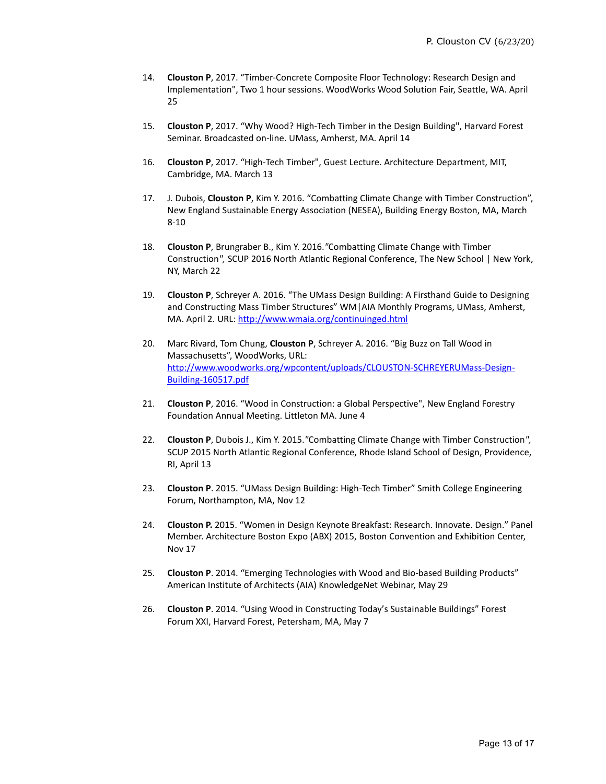- 14. **Clouston P**, 2017. "Timber-Concrete Composite Floor Technology: Research Design and Implementation", Two 1 hour sessions. WoodWorks Wood Solution Fair, Seattle, WA. April 25
- 15. **Clouston P**, 2017. "Why Wood? High-Tech Timber in the Design Building", Harvard Forest Seminar. Broadcasted on-line. UMass, Amherst, MA. April 14
- 16. **Clouston P**, 2017. "High-Tech Timber", Guest Lecture. Architecture Department, MIT, Cambridge, MA. March 13
- 17. J. Dubois, **Clouston P**, Kim Y. 2016. "Combatting Climate Change with Timber Construction", New England Sustainable Energy Association (NESEA), Building Energy Boston, MA, March 8-10
- 18. **Clouston P**, Brungraber B., Kim Y. 2016.*"*Combatting Climate Change with Timber Construction*",* SCUP 2016 North Atlantic Regional Conference, The New School | New York, NY, March 22
- 19. **Clouston P**, Schreyer A. 2016. "The UMass Design Building: A Firsthand Guide to Designing and Constructing Mass Timber Structures" WM | AIA Monthly Programs, UMass, Amherst, MA. April 2. URL[: http://www.wmaia.org/continuinged.html](http://www.wmaia.org/continuinged.html)
- 20. Marc Rivard, Tom Chung, **Clouston P**, Schreyer A. 2016. "Big Buzz on Tall Wood in Massachusetts", WoodWorks, URL: [http://www.woodworks.org/wpcontent/uploads/CLOUSTON-SCHREYERUMass-Design-](http://www.woodworks.org/wpcontent/uploads/CLOUSTON-SCHREYERUMass-Design-Building-160517.pdf)[Building-160517.pdf](http://www.woodworks.org/wpcontent/uploads/CLOUSTON-SCHREYERUMass-Design-Building-160517.pdf)
- 21. **Clouston P**, 2016. "Wood in Construction: a Global Perspective", New England Forestry Foundation Annual Meeting. Littleton MA. June 4
- 22. **Clouston P**, Dubois J., Kim Y. 2015.*"*Combatting Climate Change with Timber Construction*",* SCUP 2015 North Atlantic Regional Conference, Rhode Island School of Design, Providence, RI, April 13
- 23. **Clouston P**. 2015. "UMass Design Building: High-Tech Timber" Smith College Engineering Forum, Northampton, MA, Nov 12
- 24. **Clouston P.** 2015. "Women in Design Keynote Breakfast: Research. Innovate. Design." Panel Member. Architecture Boston Expo (ABX) 2015, Boston Convention and Exhibition Center, Nov 17
- 25. **Clouston P**. 2014. "Emerging Technologies with Wood and Bio-based Building Products" American Institute of Architects (AIA) KnowledgeNet Webinar, May 29
- 26. **Clouston P**. 2014. "Using Wood in Constructing Today's Sustainable Buildings" Forest Forum XXI, Harvard Forest, Petersham, MA, May 7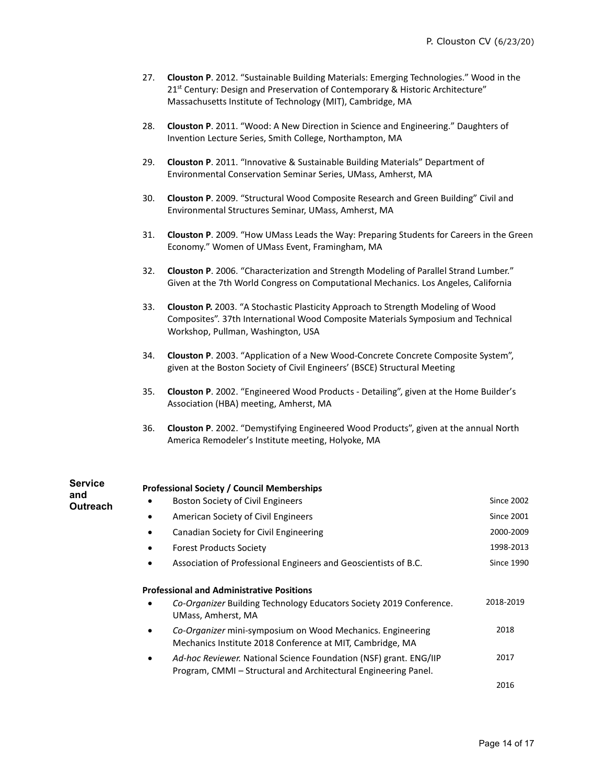- 27. **Clouston P**. 2012. "Sustainable Building Materials: Emerging Technologies." Wood in the 21<sup>st</sup> Century: Design and Preservation of Contemporary & Historic Architecture" Massachusetts Institute of Technology (MIT), Cambridge, MA
- 28. **Clouston P**. 2011. "Wood: A New Direction in Science and Engineering." Daughters of Invention Lecture Series, Smith College, Northampton, MA
- 29. **Clouston P**. 2011. "Innovative & Sustainable Building Materials" Department of Environmental Conservation Seminar Series, UMass, Amherst, MA
- 30. **Clouston P**. 2009. "Structural Wood Composite Research and Green Building" Civil and Environmental Structures Seminar, UMass, Amherst, MA
- 31. **Clouston P**. 2009. "How UMass Leads the Way: Preparing Students for Careers in the Green Economy." Women of UMass Event, Framingham, MA
- 32. **Clouston P**. 2006. "Characterization and Strength Modeling of Parallel Strand Lumber." Given at the 7th World Congress on Computational Mechanics. Los Angeles, California
- 33. **Clouston P.** 2003. "A Stochastic Plasticity Approach to Strength Modeling of Wood Composites". 37th International Wood Composite Materials Symposium and Technical Workshop, Pullman, Washington, USA
- 34. **Clouston P**. 2003. "Application of a New Wood-Concrete Concrete Composite System", given at the Boston Society of Civil Engineers' (BSCE) Structural Meeting
- 35. **Clouston P**. 2002. "Engineered Wood Products Detailing", given at the Home Builder's Association (HBA) meeting, Amherst, MA
- 36. **Clouston P**. 2002. "Demystifying Engineered Wood Products", given at the annual North America Remodeler's Institute meeting, Holyoke, MA

| <b>Service</b><br>and | <b>Professional Society / Council Memberships</b>                                                                                                 |                   |  |
|-----------------------|---------------------------------------------------------------------------------------------------------------------------------------------------|-------------------|--|
| <b>Outreach</b>       | Boston Society of Civil Engineers                                                                                                                 | <b>Since 2002</b> |  |
|                       | American Society of Civil Engineers<br>٠                                                                                                          | <b>Since 2001</b> |  |
|                       | Canadian Society for Civil Engineering                                                                                                            | 2000-2009         |  |
|                       | <b>Forest Products Society</b>                                                                                                                    | 1998-2013         |  |
|                       | Association of Professional Engineers and Geoscientists of B.C.<br>٠                                                                              | <b>Since 1990</b> |  |
|                       | <b>Professional and Administrative Positions</b>                                                                                                  |                   |  |
|                       | Co-Organizer Building Technology Educators Society 2019 Conference.<br>UMass, Amherst, MA                                                         | 2018-2019         |  |
|                       | Co-Organizer mini-symposium on Wood Mechanics. Engineering<br>$\bullet$<br>Mechanics Institute 2018 Conference at MIT, Cambridge, MA              | 2018              |  |
|                       | Ad-hoc Reviewer. National Science Foundation (NSF) grant. ENG/IIP<br>$\bullet$<br>Program, CMMI – Structural and Architectural Engineering Panel. | 2017              |  |
|                       |                                                                                                                                                   | 2016              |  |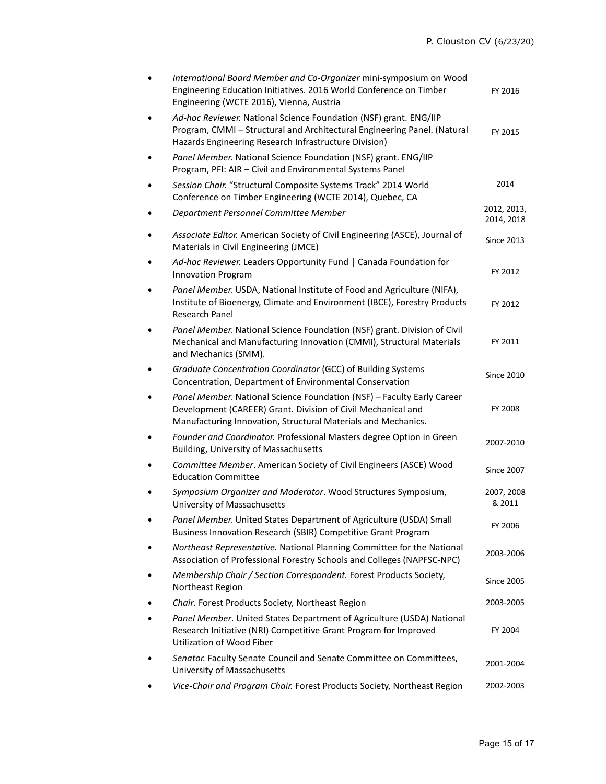|   | International Board Member and Co-Organizer mini-symposium on Wood<br>Engineering Education Initiatives. 2016 World Conference on Timber<br>Engineering (WCTE 2016), Vienna, Austria                    | FY 2016                   |
|---|---------------------------------------------------------------------------------------------------------------------------------------------------------------------------------------------------------|---------------------------|
|   | Ad-hoc Reviewer. National Science Foundation (NSF) grant. ENG/IIP<br>Program, CMMI - Structural and Architectural Engineering Panel. (Natural<br>Hazards Engineering Research Infrastructure Division)  | FY 2015                   |
|   | Panel Member. National Science Foundation (NSF) grant. ENG/IIP<br>Program, PFI: AIR - Civil and Environmental Systems Panel                                                                             |                           |
|   | Session Chair. "Structural Composite Systems Track" 2014 World<br>Conference on Timber Engineering (WCTE 2014), Quebec, CA                                                                              | 2014                      |
|   | Department Personnel Committee Member                                                                                                                                                                   | 2012, 2013,<br>2014, 2018 |
|   | Associate Editor. American Society of Civil Engineering (ASCE), Journal of<br>Materials in Civil Engineering (JMCE)                                                                                     | <b>Since 2013</b>         |
|   | Ad-hoc Reviewer. Leaders Opportunity Fund   Canada Foundation for<br><b>Innovation Program</b>                                                                                                          | FY 2012                   |
|   | Panel Member. USDA, National Institute of Food and Agriculture (NIFA),<br>Institute of Bioenergy, Climate and Environment (IBCE), Forestry Products<br><b>Research Panel</b>                            | FY 2012                   |
|   | Panel Member. National Science Foundation (NSF) grant. Division of Civil<br>Mechanical and Manufacturing Innovation (CMMI), Structural Materials<br>and Mechanics (SMM).                                | FY 2011                   |
|   | Graduate Concentration Coordinator (GCC) of Building Systems<br>Concentration, Department of Environmental Conservation                                                                                 | <b>Since 2010</b>         |
|   | Panel Member. National Science Foundation (NSF) - Faculty Early Career<br>Development (CAREER) Grant. Division of Civil Mechanical and<br>Manufacturing Innovation, Structural Materials and Mechanics. | FY 2008                   |
|   | Founder and Coordinator. Professional Masters degree Option in Green<br><b>Building, University of Massachusetts</b>                                                                                    | 2007-2010                 |
|   | Committee Member. American Society of Civil Engineers (ASCE) Wood<br><b>Education Committee</b>                                                                                                         | <b>Since 2007</b>         |
|   | Symposium Organizer and Moderator. Wood Structures Symposium,<br>University of Massachusetts                                                                                                            | 2007, 2008<br>& 2011      |
| ٠ | Panel Member. United States Department of Agriculture (USDA) Small<br>Business Innovation Research (SBIR) Competitive Grant Program                                                                     | FY 2006                   |
|   | Northeast Representative. National Planning Committee for the National<br>Association of Professional Forestry Schools and Colleges (NAPFSC-NPC)                                                        | 2003-2006                 |
|   | Membership Chair / Section Correspondent. Forest Products Society,<br>Northeast Region                                                                                                                  | <b>Since 2005</b>         |
|   | Chair. Forest Products Society, Northeast Region                                                                                                                                                        | 2003-2005                 |
|   | Panel Member. United States Department of Agriculture (USDA) National<br>Research Initiative (NRI) Competitive Grant Program for Improved<br><b>Utilization of Wood Fiber</b>                           | FY 2004                   |
|   | Senator. Faculty Senate Council and Senate Committee on Committees,<br>University of Massachusetts                                                                                                      | 2001-2004                 |
|   | Vice-Chair and Program Chair. Forest Products Society, Northeast Region                                                                                                                                 | 2002-2003                 |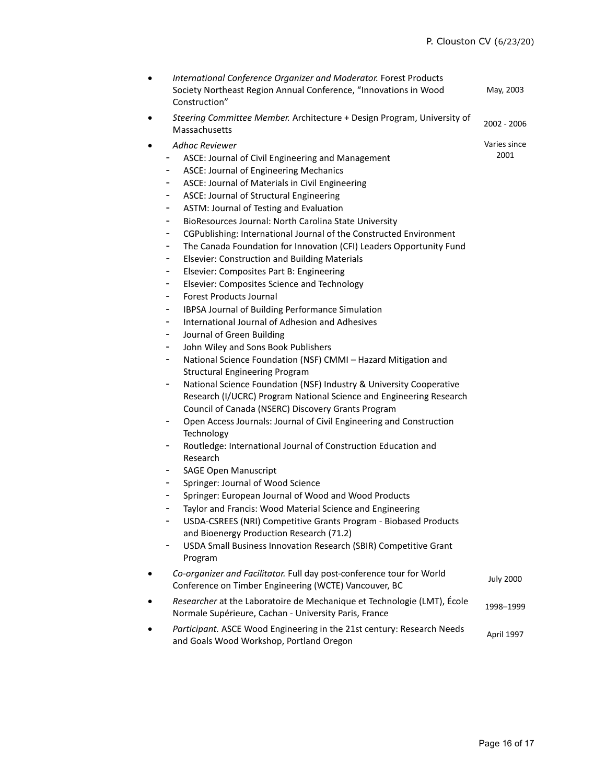Varies since 2001

- *International Conference Organizer and Moderator.* Forest Products Society Northeast Region Annual Conference, "Innovations in Wood Construction" May, 2003
- *Steering Committee Member.* Architecture + Design Program, University of Massachusetts 2002 <sup>2006</sup>
- *Adhoc Reviewer*
	- ASCE: Journal of Civil Engineering and Management
	- ASCE: Journal of Engineering Mechanics
	- ASCE: Journal of Materials in Civil Engineering
	- ASCE: Journal of Structural Engineering
	- ASTM: Journal of Testing and Evaluation
	- BioResources Journal: North Carolina State University
	- CGPublishing: International Journal of the Constructed Environment
	- The Canada Foundation for Innovation (CFI) Leaders Opportunity Fund
	- Elsevier: Construction and Building Materials
	- Elsevier: Composites Part B: Engineering
	- Elsevier: Composites Science and Technology
	- Forest Products Journal
	- IBPSA Journal of Building Performance Simulation
	- International Journal of Adhesion and Adhesives
	- Journal of Green Building
	- John Wiley and Sons Book Publishers
	- National Science Foundation (NSF) CMMI Hazard Mitigation and Structural Engineering Program
	- National Science Foundation (NSF) Industry & University Cooperative Research (I/UCRC) Program National Science and Engineering Research Council of Canada (NSERC) Discovery Grants Program
	- Open Access Journals: Journal of Civil Engineering and Construction **Technology**
	- Routledge: International Journal of Construction Education and Research
	- SAGE Open Manuscript
	- Springer: Journal of Wood Science
	- Springer: European Journal of Wood and Wood Products
	- Taylor and Francis: Wood Material Science and Engineering
	- USDA-CSREES (NRI) Competitive Grants Program Biobased Products and Bioenergy Production Research (71.2)
	- USDA Small Business Innovation Research (SBIR) Competitive Grant Program
- *Co-organizer and Facilitator.* Full day post-conference tour for World Co-organizer and Facilitator. Fair day post-conference tour for world<br>Conference on Timber Engineering (WCTE) Vancouver, BC
- *Researcher* at the Laboratoire de Mechanique et Technologie (LMT), École Normale Supérieure, Cachan - University Paris, France 1998–1999
- *Participant.* ASCE Wood Engineering in the 21st century: Research Needs and Goals Wood Workshop, Portland Oregon April 1997<br>and Goals Wood Workshop, Portland Oregon